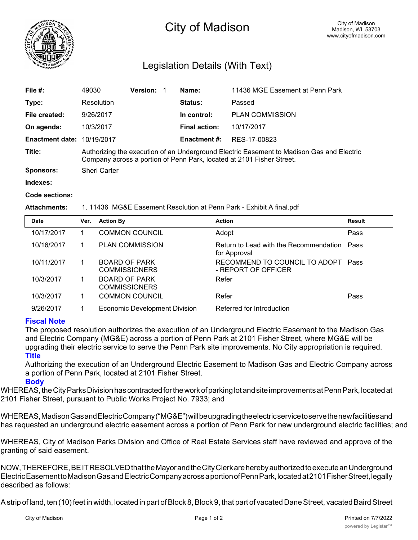

# City of Madison

## Legislation Details (With Text)

| File $#$ :                        | 49030                                                                                                                                                              | Version: |  | Name:               | 11436 MGE Easement at Penn Park |  |
|-----------------------------------|--------------------------------------------------------------------------------------------------------------------------------------------------------------------|----------|--|---------------------|---------------------------------|--|
| Type:                             | Resolution                                                                                                                                                         |          |  | <b>Status:</b>      | Passed                          |  |
| File created:                     | 9/26/2017                                                                                                                                                          |          |  | In control:         | <b>PLAN COMMISSION</b>          |  |
| On agenda:                        | 10/3/2017                                                                                                                                                          |          |  | Final action:       | 10/17/2017                      |  |
| <b>Enactment date: 10/19/2017</b> |                                                                                                                                                                    |          |  | <b>Enactment #:</b> | RES-17-00823                    |  |
| Title:                            | Authorizing the execution of an Underground Electric Easement to Madison Gas and Electric<br>Company across a portion of Penn Park, located at 2101 Fisher Street. |          |  |                     |                                 |  |
| <b>Sponsors:</b>                  | <b>Sheri Carter</b>                                                                                                                                                |          |  |                     |                                 |  |
| Indexes:                          |                                                                                                                                                                    |          |  |                     |                                 |  |

#### **Code sections:**

#### **Attachments:** 1. 11436 MG&E Easement Resolution at Penn Park - Exhibit A final.pdf

| <b>Date</b> | Ver. | <b>Action By</b>                             | <b>Action</b>                                               | <b>Result</b> |
|-------------|------|----------------------------------------------|-------------------------------------------------------------|---------------|
| 10/17/2017  |      | <b>COMMON COUNCIL</b>                        | Adopt                                                       | Pass          |
| 10/16/2017  |      | <b>PLAN COMMISSION</b>                       | Return to Lead with the Recommendation Pass<br>for Approval |               |
| 10/11/2017  |      | <b>BOARD OF PARK</b><br><b>COMMISSIONERS</b> | RECOMMEND TO COUNCIL TO ADOPT<br>- REPORT OF OFFICER        | Pass          |
| 10/3/2017   |      | <b>BOARD OF PARK</b><br><b>COMMISSIONERS</b> | Refer                                                       |               |
| 10/3/2017   |      | <b>COMMON COUNCIL</b>                        | Refer                                                       | Pass          |
| 9/26/2017   |      | Economic Development Division                | Referred for Introduction                                   |               |

### **Fiscal Note**

The proposed resolution authorizes the execution of an Underground Electric Easement to the Madison Gas and Electric Company (MG&E) across a portion of Penn Park at 2101 Fisher Street, where MG&E will be upgrading their electric service to serve the Penn Park site improvements. No City appropriation is required. **Title**

Authorizing the execution of an Underground Electric Easement to Madison Gas and Electric Company across a portion of Penn Park, located at 2101 Fisher Street. **Body**

WHEREAS, the City Parks Division has contracted for the work of parking lot and site improvements at Penn Park, located at 2101 Fisher Street, pursuant to Public Works Project No. 7933; and

WHEREAS,MadisonGasandElectricCompany("MG&E")willbeupgradingtheelectricservicetoservethenewfacilitiesand has requested an underground electric easement across a portion of Penn Park for new underground electric facilities; and

WHEREAS, City of Madison Parks Division and Office of Real Estate Services staff have reviewed and approve of the granting of said easement.

NOW,THEREFORE,BEITRESOLVEDthattheMayorandtheCityClerkareherebyauthorizedtoexecuteanUnderground ElectricEasementtoMadisonGasandElectricCompanyacrossaportionofPennPark,locatedat2101FisherStreet,legally described as follows:

A strip of land, ten (10) feet in width, located in part of Block 8, Block 9, that part of vacated Dane Street, vacated Baird Street